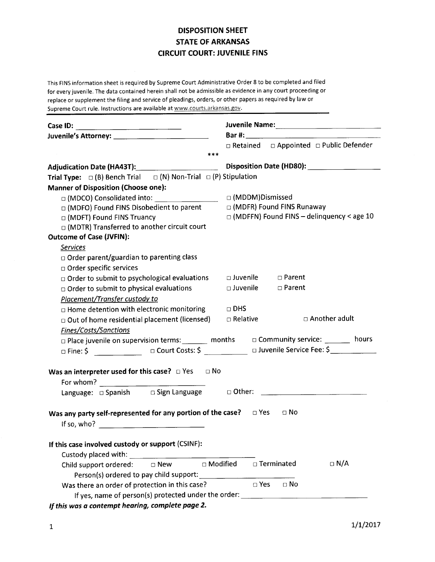## DISPOSITION SHEET STATE OF ARKANSAS CIRCUIT COURT: JUVENILE FINS

This FINS information sheet is required by Supreme Court Administrative Order 8 to be completed and filed for everyjuvenile. The data contained herein shall not be admissible as evidence in any court proceeding or replace or supplement the filing and service of pleadings, orders, or other papers as required by law or Supreme Court rule. Instructions are available at www.courts.arkansas.gov.

|                                                                                                                  | □ Retained □ Appointed □ Public Defender    |
|------------------------------------------------------------------------------------------------------------------|---------------------------------------------|
| $* * *$                                                                                                          |                                             |
| Adjudication Date (HA43T): Adjudication Date (HA43T):                                                            |                                             |
| Trial Type: $\Box$ (B) Bench Trial $\Box$ (N) Non-Trial $\Box$ (P) Stipulation                                   |                                             |
| <b>Manner of Disposition (Choose one):</b>                                                                       |                                             |
|                                                                                                                  | □ (MDDM)Dismissed                           |
| □ (MDFO) Found FINS Disobedient to parent                                                                        | □ (MDFR) Found FINS Runaway                 |
| □ (MDFT) Found FINS Truancy                                                                                      | □ (MDFFN) Found FINS - delinquency < age 10 |
| □ (MDTR) Transferred to another circuit court                                                                    |                                             |
| <b>Outcome of Case (JVFIN):</b>                                                                                  |                                             |
| <b>Services</b>                                                                                                  |                                             |
| $\Box$ Order parent/guardian to parenting class                                                                  |                                             |
| $\Box$ Order specific services                                                                                   |                                             |
| $\Box$ Order to submit to psychological evaluations                                                              | □ Juvenile □ Parent                         |
| □ Order to submit to physical evaluations                                                                        | □ Juvenile □ Parent                         |
| Placement/Transfer custody to                                                                                    |                                             |
| $\Box$ Home detention with electronic monitoring $\Box$ DHS                                                      |                                             |
| $\Box$ Out of home residential placement (licensed) $\Box$ Relative                                              | $\square$ Another adult                     |
| Fines/Costs/Sanctions                                                                                            |                                             |
| $\Box$ Place juvenile on supervision terms: _______ months $\Box$ Community service: _______ hours               |                                             |
| $\Box$ Fine: \$ ________________ $\Box$ Court Costs: \$ ___________ $\Box$ Juvenile Service Fee: \$ ____________ |                                             |
|                                                                                                                  |                                             |
| Was an interpreter used for this case? $\Box$ Yes $\Box$ No                                                      |                                             |
|                                                                                                                  |                                             |
|                                                                                                                  |                                             |
| Was any party self-represented for any portion of the case? $\Box$ Yes $\Box$ No                                 |                                             |
|                                                                                                                  |                                             |
|                                                                                                                  |                                             |
| If this case involved custody or support (CSINF):                                                                |                                             |
| Custody placed with:                                                                                             |                                             |
| □ Modified<br>$\Box$ New<br>Child support ordered:                                                               | $\Box$ N/A<br>□ Terminated                  |
| Person(s) ordered to pay child support:                                                                          |                                             |
| Was there an order of protection in this case?                                                                   | $\square$ Yes<br>$\Box$ No                  |
| If yes, name of person(s) protected under the order: ___________________________                                 |                                             |
| فتعطف والمستنا المستنقذ والمستنقذ المستناد والمنادرة                                                             |                                             |

lf this wos o contempt hearing, complete page 2.